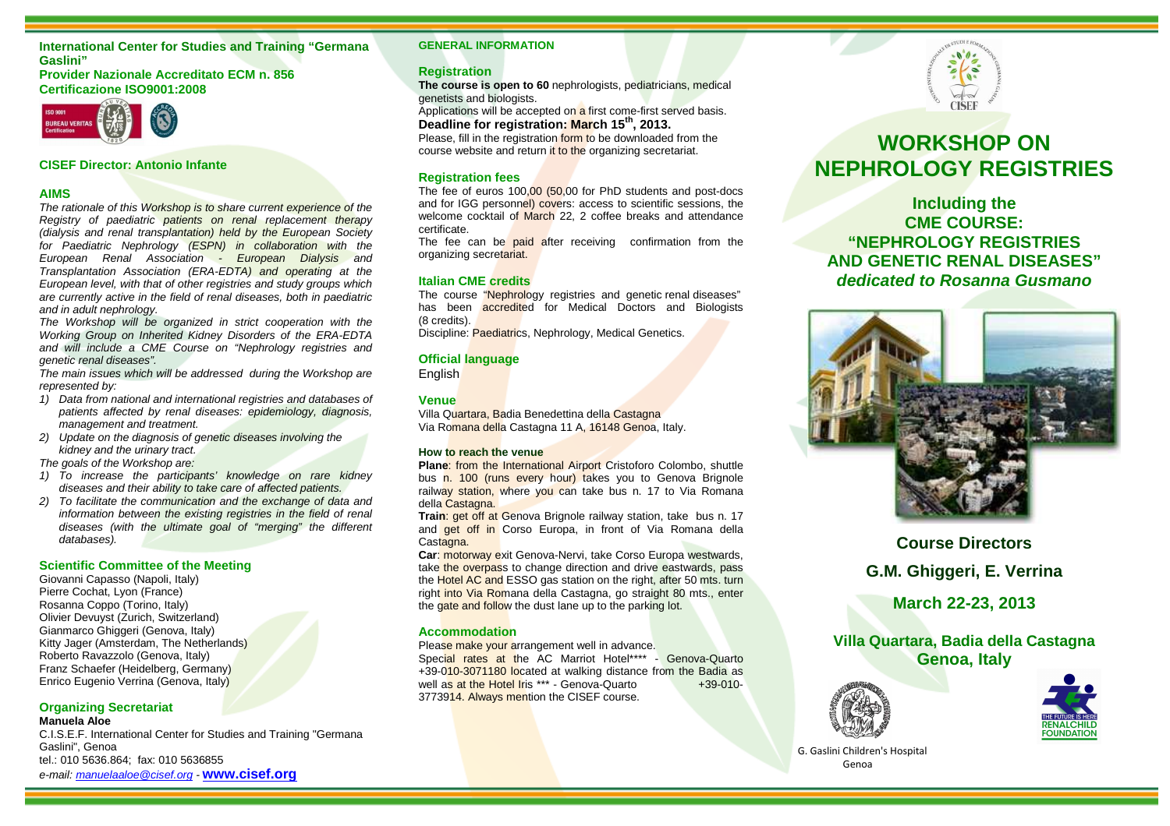## **International Center for Studies and Training "Germana Gaslini"**

#### **Provider Nazionale Accreditato ECM n. 856 Certificazione ISO9001:2008**



#### **CISEF Director: Antonio Infante**

## **AIMS**

The rationale of this Workshop is to share current experience of the Registry of paediatric patients on renal replacement therapy (dialysis and renal transplantation) held by the European Society for Paediatric Nephrology (ESPN) in collaboration with the European Renal Association - European Dialysis and Transplantation Association (ERA-EDTA) and operating at the European level, with that of other registries and study groups which are currently active in the field of renal diseases, both in paediatric and in adult nephrology.

 The Workshop will be organized in strict cooperation with the Working Group on Inherited Kidney Disorders of the ERA-EDTA and will include a CME Course on "Nephrology registries and genetic renal diseases".

 The main issues which will be addressed during the Workshop are represented by:

- 1) Data from national and international registries and databases of patients affected by renal diseases: epidemiology, diagnosis, management and treatment.
- 2) Update on the diagnosis of genetic diseases involving the kidney and the urinary tract.

The goals of the Workshop are:

- 1) To increase the participants' knowledge on rare kidney diseases and their ability to take care of affected patients.
- 2) To facilitate the communication and the exchange of data and information between the existing registries in the field of renal diseases (with the ultimate goal of "merging" the different databases).

#### **Scientific Committee of the Meeting**

Giovanni Capasso (Napoli, Italy) Pierre Cochat, Lyon (France) Rosanna Coppo (Torino, Italy) Olivier Devuyst (Zurich, Switzerland) Gianmarco Ghiggeri (Genova, Italy) Kitty Jager (Amsterdam, The Netherlands) Roberto Ravazzolo (Genova, Italy) Franz Schaefer (Heidelberg, Germany) Enrico Eugenio Verrina (Genova, Italy)

#### **Organizing Secretariat Manuela Aloe**

 C.I.S.E.F. International Center for Studies and Training "Germana Gaslini", Genoa tel.: 010 5636.864; fax: 010 5636855 e-mail: manuelaaloe@cisef.org - **www.cisef.org**

#### **GENERAL INFORMATION**

#### **Registration**

 **The course is open to 60** nephrologists, pediatricians, medical genetists and biologists.

Applications will be accepted on a first come-first served basis. **Deadline for registration: March 15th, 2013.** 

Please, fill in the registration form to be downloaded from the course website and return it to the organizing secretariat.

#### **Registration fees**

The fee of euros 100,00 (50,00 for PhD students and post-docs and for IGG personnel) covers: access to scientific sessions, the welcome cocktail of March 22, 2 coffee breaks and attendance certificate.

The fee can be paid after receiving confirmation from the organizing secretariat.

#### **Italian CME credits**

The course "Nephrology registries and genetic renal diseases" has been accredited for Medical Doctors and Biologists (8 credits).

Discipline: <mark>Paediatri</mark>cs, Nephrology, Medical Genetics.

#### **Official language**

English

#### **Venue**

Villa Quartara, Badia Benedettina della Castagna Via Ro<mark>mana dell</mark>a Castagna 11 A, 16148 Genoa, Italy.

#### **How to reach the venue**

 **Plane**: from the International Airport Cristoforo Colombo, shuttle bus n. 100 (runs every hour) takes you to Genova Brignole railway station, where you can take bus n. 17 to Via Romana della Castagna.

 **Train**: get off at Genova Brignole railway station, take bus n. 17 and **get off in** Corso Europa, in front of Via Romana della Castagna.

 **Car**: motorway exit Genova-Nervi, take Corso Europa westwards, take the overpass to change direction and drive eastwards, pass the Hotel AC and ESSO gas station on the right, after 50 mts. turn right into Via Romana della Castagna, go straight 80 mts., enter the gate and follow the dust lane up to the parking lot.

#### **Accommodation**

Please make your arrangement well in advance. Special rates at the AC Marriot Hotel\*\*\*\* - Genova-Quarto +39-010-3071180 located at walking distance from the Badia as  $+39-010$ well as at the Hotel Iris \*\*\* - Genova-Quarto 3773914. Always mention the CISEF course.



# **WORKSHOP ON NEPHROLOGY REGISTRIES**

**Including the CME COURSE: "NEPHROLOGY REGISTRIES AND GENETIC RENAL DISEASES" dedicated to Rosanna Gusmano** 



# **Course Directors G.M. Ghiggeri, E. Verrina**

**March 22-23, 2013** 

**Villa Quartara, Badia della Castagna Genoa, Italy** 





G. Gaslini Children's Hospital Genoa